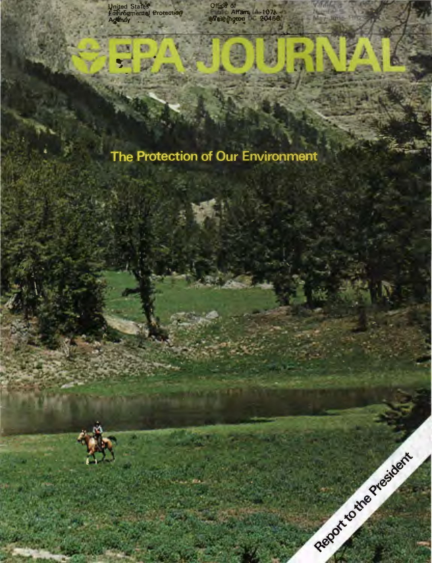United States<br>Environmentel Protection<br>Agency

Office of **Affairs 1974** 

a

Report to the President

# The Protection of Our Environment

79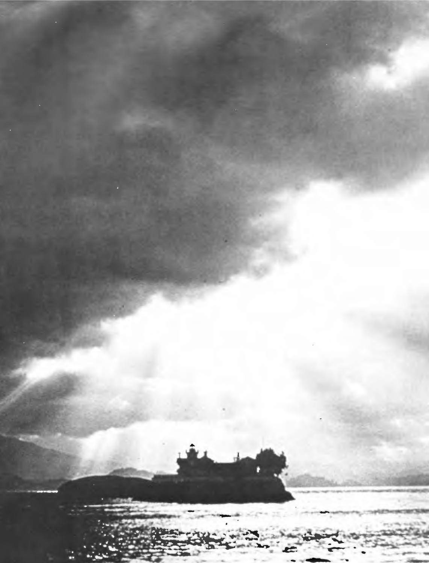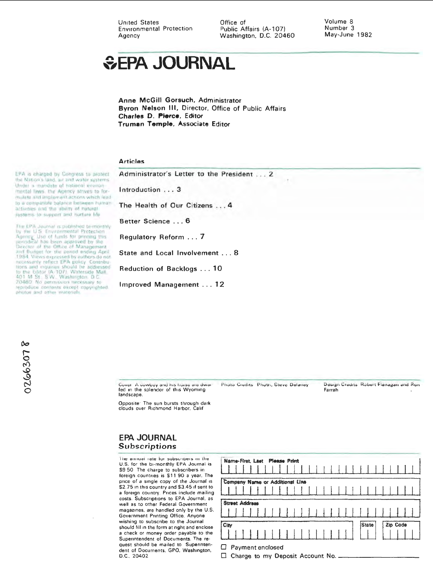United States Environmental Protection Agency

Office of Public Affairs (A-107) Washington. D.C. 20460 Volume 8 Number 3 May-June 1982

# **oEPA JOURNAL**

Anne McGill Gorsuch, Administrator Byron Nelson Ill, Director, Office of Public Affairs Charles D. Pierce, Editor Truman Temple, Associate Editor

#### **Articles**

Administrator's Letter to the President ... 2 Introduction ... 3 The Health of Our Citizens ... 4 Better Science ... 6 Regulatory Reform . .. 7 State and Local Involvement . . . 8 Reduction of Backlogs ... 10

Improved Management ... 12

02663078

Cover. A cowboy and his horse are dwar<br>fed in the splendor of this Wyoming landscape. Photo Credits Photri, Steve Delaney Design Cred11s Robert Flanagan and Ron Farrah

Opposite: The sun bursts through dark clouds over Richmond Harbor. Calif

### EPA JOURNAL Subscriptions

| The annual rate for subscribers in the<br>U.S. for the bi-monthly EPA Journal is<br>\$9.50 The charge to subscribers in<br>foreign countries is \$11.90 a year. The<br>price of a single copy of the Journal is<br>\$2.75 in this country and \$3,45 if sent to<br>a foreign country. Prices include mailing<br>costs. Subscriptions to EPA Journal, as<br>well as to other Federal Government<br>magazines, are handled only by the U.S.<br>Government Printing Office, Anyone<br>wishing to subscribe to the Journal<br>should fill in the form at right and enclose.<br>a check or money order payable to the<br>Superintendent of Documents. The re-<br>quest should be mailed to Superinten-<br>dent of Documents, GPO, Washington,<br>D.C. 20402 | Name-First Last Please Print                                       |
|--------------------------------------------------------------------------------------------------------------------------------------------------------------------------------------------------------------------------------------------------------------------------------------------------------------------------------------------------------------------------------------------------------------------------------------------------------------------------------------------------------------------------------------------------------------------------------------------------------------------------------------------------------------------------------------------------------------------------------------------------------|--------------------------------------------------------------------|
|                                                                                                                                                                                                                                                                                                                                                                                                                                                                                                                                                                                                                                                                                                                                                        | Company Name or Additional Line                                    |
|                                                                                                                                                                                                                                                                                                                                                                                                                                                                                                                                                                                                                                                                                                                                                        |                                                                    |
|                                                                                                                                                                                                                                                                                                                                                                                                                                                                                                                                                                                                                                                                                                                                                        | <b>Street Address</b>                                              |
|                                                                                                                                                                                                                                                                                                                                                                                                                                                                                                                                                                                                                                                                                                                                                        | Zip Code<br>City<br><b>IState</b>                                  |
|                                                                                                                                                                                                                                                                                                                                                                                                                                                                                                                                                                                                                                                                                                                                                        | $\Box$ Payment enclosed<br>$\Box$ Charge to my Deposit Account No. |

EPA is charged by Congress to protect the Nation's land, air and water systems. Under a mandate of hational environmental laws. the Agency strives to formulate and implement actions which lead to a compatible batance between humanactivities and the streng of natural systems to support and nurture life

The EPA Journal is published bi-monthly<br>by the U.S. Environmental Protection by the U.S. of Junials for printing this<br>periodical has been approved by the<br>periodical has been approved by the<br>Director of the Office of Management<br>and Budget for the period ending April and Diving expressed by authors do not<br>nucessarily reflect EPA policy. Contributions and inquiries should be addressed<br>to the Editor (A 107). Waterside Mall<br>401 M St. S.W. Washington, D.C.<br>20460. No permission necessary to reproduce contents except copyrighted. photos and other materials.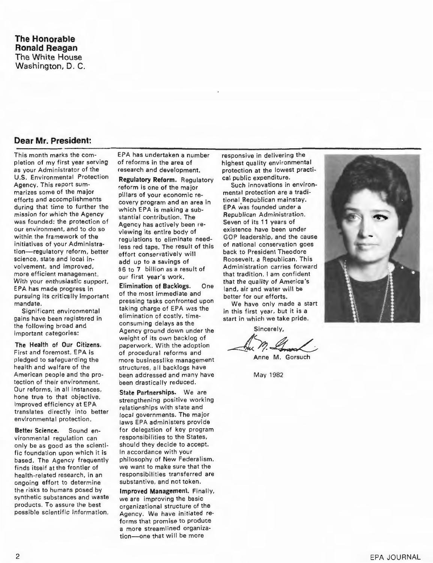### **Dear Mr. President:**

This month marks the completion of my first year serving as your Administrator of the U.S. Environmental Protection Agency. This report summarizes some of the major efforts and accomplishments during that time to further the mission for which the Agency was founded: the protection of our environment. and to do so within tha framework of the initiatives of your Administration-regulatory reform, better science, state and local involvement, and improved, more efficient management. *With* your enthusiastic support, EPA has made progress in pursuing its critically important mandate.

Significant environmental gains have been registered in the following broad and important categories:

The Health of Our Citizens. First and foremost, EPA is pledged to safeguarding the health and welfare of the American people and the protection of their environment. Our reforms, in all instances, hone true to that objective. Improved efficiency at EPA translates directly into better environmental protection.

Better Science. Sound environmental regulation can only be as good as the scientific foundation upon which it is based. The Agency frequently finds itself at the frontier of health-related research, in an ongoing effort to determine the risks to humans posed by synthetic substances and waste products. To assure the best possible scientific information,

EPA has undertaken a number of reforms in the area of research and development.

Regulatory Reform. Regulatory reform is one of the major pillars of your economic recovery program and an area in which EPA is making a substantial contribution. The Agency has actively been reviewing its entire body of regulations to eliminate needless red tape. The result of this effort conservatively will add up to a savings of \$6 to 7 billion as a result of our first year's work.

Elimination of Backlogs. One of the most immediate and pressing tasks confronted upon taking charge of EPA was the elimination of costly. timeconsuming delays as the Agency ground down under the weight of its own backlog of paperwork. With the adoption of procedural reforms and more businesslike management structures, all backlogs have been addressed and many have been drastically reduced.

State Partnerships. We are strengthening positive working relationships with state and local governments. The major laws EPA administers provide for delegation of key program responsibilities to the States, should they decide to accept. In accordance with your philosophy of New Federalism, we want to make sure that the responsibilities transferred are substantive, and not token.

Improved Management. Finally, we are improving the basic organizational structure of the Agency. We have initiated reforms that promise to produce a more streamlined organization-one that will be more

responsive in delivering the highest quality environmental protection at the lowest practical public expenditure.

Such innovations in environmental protection are a traditional Republican mainstay. EPA was founded under a Republican Administration. Seven of its 11 years of existence have been under GOP leadership, and the cause of national conservation goes back to President Theodore Roosevelt, a Republican. This Administration carries forward that tradition. I am confident that the quality of America's land, air and water will be better for our efforts.

We have only made a start in this first year, but it is a start in which we take pride.

Sincerely,

art in which we take pride.

May 1982

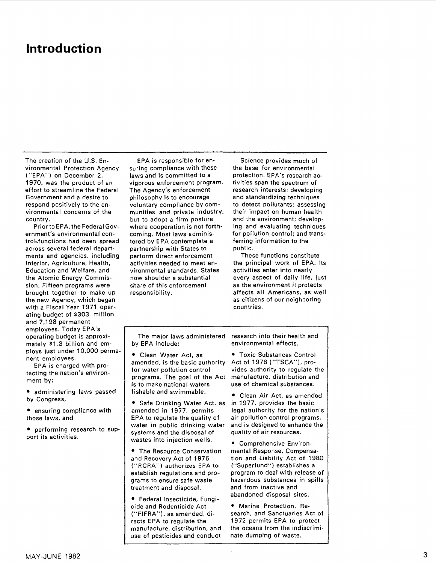### **Introduction**

The creation of the U.S. Environmental Protection Agency ("EPA") on December 2. 1970, was the product of an effort to streamline the Federal Government and a desire to respond positively to the environmental concerns of the country.

Prior to EPA. the Federal Government's environmental control-functions had been spread across several federal departments and agencies, including Interior. Agriculture, Health, Education and Welfare. and the Atomic Energy Commission. Fifteen programs were brought together to make up the new Agency, which began with a Fiscal Year 1971 operating budget of \$303 million and 7.198 permanent employees. Today EPA's operating budget is approximately \$1.3 billion and employs just under 10.000 permanent employees.

EPA is charged with protecting the nation's environment by:

• administering laws passed by Congress,

• ensuring compliance with those laws. and

• performing research to support its activities.

EPA is responsible for ensuring compliance with these laws and is committed to a vigorous enforcement program. The Agency's enforcement philosophy is to encourage voluntary compliance by communities and private industry. but to adopt a firm posture where cooperation is not forthcoming. Most laws administered by EPA contemplate a partnership with States to perform direct enforcement activities needed to meet environmental standards. States now shoulder a substantial share of this enforcement responsibility.

Science provides much of the base for environmental protection. EPA's research activities span the spectrum of research interests: developing and standardizing techniques to detect pollutants; assessing their impact on human health and the environment; developing and evaluating techniques for pollution control; and transferring information to the public.

These functions constitute the principal work of EPA. Its activities enter into nearly every aspect of daily life, just as the environment it protects affects all Americans, as well as citizens of our neighboring countries.

by EPA include: environmental effects.

• Clean Water Act, as amended, is the basic authority for water pollution control programs. The goal of the Act is to make national waters fishable and swimmable.

• Safe Drinking Water Act. as amended in 1977, permits EPA to regulate the quality of water in public drinking water systems and the disposal of wastes into injection wells.

• The Resource Conservation and Recovery Act of 1976 ("RCRA") authorizes EPA to establish regulations and programs to ensure safe waste treatment and disposal.

• Federal Insecticide, Fungicide and Rodenticide Act ("FIFRA"), as amended. directs EPA to regulate the manufacture, distribution, and use of pesticides and conduct

The major laws administered research into their health and

• Toxic Substances Control Act of 1976 ("TSCA"). provides authority to regulate the manufacture, distribution and use of chemical substances.

• Clean Air Act. as amended in 1977, provides the basic legal authority for the nation's air pollution control programs, and is designed to enhance the quality of air resources.

• Comprehensive Environmental Response, Compensation and Liability Act of 1980 ("Superfund") establishes a program to deal with release of hazardous substances in spills and from inactive and abandoned disposal sites.

• Marine Protection, Research, and Sanctuaries Act of 1972 permits EPA to protect the oceans from the indiscriminate dumping of waste.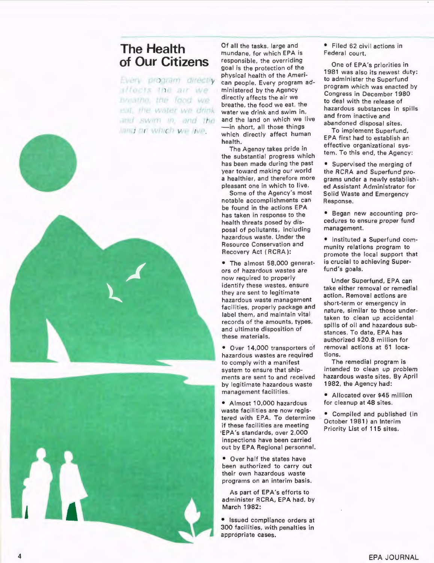## **The Health of Our Citizens**

Every program directly can people. Every program adillacts the air we prestno the food we ear. the water we drink and swim in, and the land or which we live.



Of all the tasks, large and mundane, for which EPA is responsible, the overriding goal is the protection of the physical health of the Amari ministered by the Agency directly affects the air we breathe, the food we eat, the water we dr ink and swim in, and the land on which we live  $-$ in short, all those things which directly affect human health.

The Agency takes pride in the substantial progress which has been made during the past year toward making our wo rld a healthier, and therefore more pleasant one in which to live.

Some of the Agency's most notable accomplishments can be found in the actions EPA has taken in response to the health threats posed by disposal of pollutants, including hazardous waste. Under the Resource Conservation and Recovery Act ( RCRA ):

• The almost 58,000 generators of hazardous wastes are now required to properly identify these wastes, ensure they are sent to legitimate hazardous waste management facilities. properly package and label them, and maintain vital records of the amounts, types. and ultimate disposition of these materials.

• Over 14,000 transporters of hazardous wastes are required to comply with a manifest system to ensure that shipments are sent to and received by legitimate hazardous waste management facilities.

• Almost 10,000 hazardous waste facilities are now registered with EPA. To determine if these facilities are meeting 1 EPA's sta ndards, over 2,000 inspections have been carried out by EPA Regional personnel.

• Over half the states have been authorized to carry out their own hazardous waste progra ms on an interim basis.

As part of EPA's efforts to administer RCRA, EPA had, by March 1982:

• Issued compliance orders at 300 facilities, with penalties in appropriate cases.

• Filed 62 civil actions in Federal court.

One of EPA 's priorities in 1981 was also its newest duty: to administer the Superfund program which was enacted by Congress in December 1980 to deal w ith the release of hazardous substances in spills and from inactive and abandoned d isposal sites.

To implement Superfund, EPA first had to establish an effective organizational system. To this end, the Agency:

• Supervised the merging of the RCRA and Superfund programs under a newly established Assistant Administrator for Solid Waste and Emergency Response.

• Began new accounting procedures to ensure proper fund management.

• Instituted a Superfund community relations program to promote the local support that is crucial to achieving Superfund's goals.

Under Superfund, EPA can take either removal or remedial action. Removal actions are short-term or emergency in nature, similar to those undertaken to clean up accidental spills of oil and hazardous substances. To date, EPA has authorized \$20 .8 million for removal actions at 61 locations.

The remedial program is intended to clean up problem hazardous waste sites. By April 1982, the Agency had:

• Allocated over \$45 million for cleanup at 48 sites.

• Compiled and published (in October 1981) an Interim Priority List of 115 sites.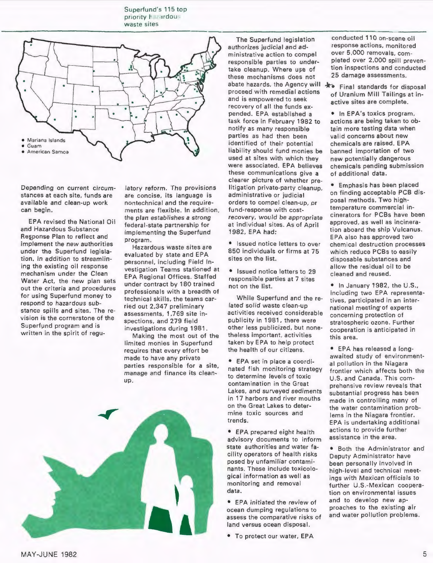Superfund's 115 top priority hazardous waste sites



Depending on current circumstances at each site. funds are available and clean-up work can begin.

EPA revised the National Oil and Hazardous Substance Response Plan to reflect and implement the new authorities under the Superfund legislation. In addition to streamlining the existing oil response mechanism under the Clean Water Act, the new plan sets out the criteria and procedures for using Superfund money to respond to hazardous substance spills and sites. The revision is the cornerstone of the Superfund program and is written in the spirit of regulatory reform. The provisions are concise, its language is nontechnical and the requirements are flexible. In addition, the plan establishes a strong federal-state partnership for implementing the Superfund program.

Hazardous waste sites are evaluated by state and EPA personnel, including Field Investigation Teams stationed at EPA Regional Offices. Staffed under contract by 180 trained professionals with a breadth of technical skills, the teams carried out 2,347 preliminary assessments, 1,769 site inspections, and 279 field investigations during 1981.

Making the most out of the limited monies in Superfund requires that every effort be made to have any private parties responsible for a site, manage and finance its cleanup.

The Superfund legislation authorizes judicial and administrative action to compel responsible parties to undertake cleanup. Where use of these mechanisms does not abate hazards, the Agency will  $\star\bullet$  Final standards for disposal proceed with remedial actions and is empowered to seek recovery of all the funds expended. EPA established a task force in February 1982 to notify as many responsible parties as had then been identified of their potential liability should fund monies be used at sites with which they were associated. EPA believes these communications give a clearer picture of whether prelitigation private-party cleanup, administrative or judicial orders to compel clean-up, or fund-response with costrecovery, would be appropriate at individual sites. As of April 1982, EPA had:

• Issued notice letters to over 850 individuals or firms at 75 sites on the list.

• Issued notice letters to 29 responsible parties at 7 sites not on the list.

While Superfund and the related solid waste clean-up activities received considerable publicity in 1981, there were other less publicized, but nonetheless important. activities taken by EPA to help protect the health of our citizens.

• EPA set in place a coordinated fish monitoring strategy to determine levels of toxic contamination in the Great Lakes, and surveyed sediments in 17 harbors and river mouths on the Great Lakes to determine toxic sources and trends.

• EPA prepared eight health advisory documents to inform state authorities and water facility operators of health risks posed by unfamiliar contaminants. These include toxicological information as well as monitoring and removal data.

• EPA initiated the review of ocean dumping regulations to assess the comparative risks of land versus ocean disposal.

• To protect our water. EPA

conducted 110 on-scene oil response actions. monitored over 5,000 removals, completed over 2.000 spill prevention inspections and conducted 25 damage assessments.

of Uranium Mill Tailings at inactive sites are complete.

• In EPA's toxics program. actions are being taken to obtain more testing data when valid concerns about new chemicals are raised. EPA banned importation of two new potentially dangerous chemicals pending submission of additional data.

• Emphasis has been placed on finding acceptable PCB disposal methods. Two hightemperature commercial incinerators for PCBs have boen approved, as well as incineration aboard the ship Vulcanus. EPA also has approved two chemical destruction processes which reduce PCBs to easily disposable substances and allow the residual oil to be cleaned and reused.

• In January 1982, the U.S., including two EPA representatives, participated in an international meeting of experts concerning protection of stratospheric ozone. Further cooperation is anticipated in this area.

• EPA has released a longawaited study of environmental pollution in the Niagara frontier which affects both the U.S. and Canada. This comprehensive review revea Is that substantial progress has been made in controlling many of the water contamination problems in the Niagara frontier. EPA is undertaking additional actions to provide further assistance in the area.

• Both the Administrator and Deputy Administrator have been personally involved in high-level and technical meetings with Mexican officials to further U.S.-Mexican cooperation on environmental issues and to develop new approaches to the existing air and water pollution problems.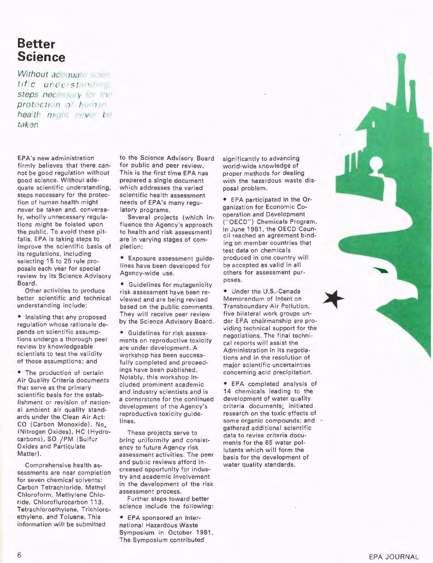### **Better Science**

Without ac *qua* tific underst steps *necessary* protection of h *health might never b tdk m* 

EPA's new administration firmly believes that there can*not* be good regulation without good science. Without adequate scientific understanding, steps necessary for the protection of human health might never be taken and, conversely, wholly unnecessary regulations might be foisted upon the public. To avoid these pitfalls, EPA is taking steps to improve the scientific basis of its regulations, including selecting 15 to 25 rule proposals each year for special review by its Science Advisory Board.

Other activities to produce better scientific and technical understanding include:

• Insisting that any proposed regulation whose rationale depends on scientific assumptions undergo a thorough peer review by knowledgeable scientists to test the validity of those assumptions; and

• The production of certain Air Quality Criteria documents that serve as the primary scientific basis for the establishment or revision of national ambient air quality standards under the Clean Air Act: CO (Carbon Monoxide). No, (Nitrogen Oxides), HC (Hydrocarbons), SO / PM (Sulfur Oxides and Particulate Matter).

Comprehensive health assessments are near completion for seven chemical solvents: Carbon Tetrachloride. Methyl Chloroform, Methylene Chloride, Chlorofiurocarbon 113, Tetrachloroethylene, Trichloroethylene, and Toluene. This information will be submitted

to the Science Advisory Board for public and peer review. This is the first time EPA has prepared a single document which addresses the varied scientific health assessment needs of EPA's many regulatory programs.

Several projects (which influence the Agency's approach to health and risk assessment) are in varying stages of completion:

• Exposure assessment guidelines have been developed for Agency-wide use.

• Guidelines for mutagenicity risk assessment have been reviewed and are being revised based on the public comments. They will receive peer review by the Science Advisory Board.

• Guidelines for risk assessments on reproductive toxicity are under development. A workshop has been successfully completed and proceedings have been published. Notably, this workshop included prominent academic and industry scientists and is a cornerstone for the continued development of the Agency's reproductive toxicity guidelines.

These projects serve to bring uniformity and consistency to future Agency risk assessment activities. The peer and public reviews afford increased opportunity for industry and academic involvement in the development of the risk assessment process.

Further steps toward better science include the following:

• EPA sponsored an International Hazardous Waste Symposium in October 1981. The Symposium contributed

significantly to advancing world-wide knowledge of proper methods for dealing with the hazardous waste disposal problem.

• EPA participated in the Organization for Economic Cooperation and Development ("OECD") Chemicals Program. In June 1981, the OECD Council reached an agreement binding on member countries that test data on chemicals produced in one country will be accepted as valid in all others for assessment purposes. • Proceepted as valid in all<br>others for assessment pur-<br>poses.<br>• Under the U.S.-Canada<br>Memorandum of Intent on

Memorandum of Intent on Transboundary Air Pollution, five bilateral work groups under EPA chairmanship are providing technical support for the negotiations. The final technical reports will assist the Administration in its negotiations and in the resolution of major scientific uncertainties concerning acid precipitation.

• EPA completed analysis of 14 chemicals leading to the development of water quality criteria documents; initiated research on the toxic effects of some organic compounds; and gathered additional scientific data to revise criteria documents for the 65 water pollutants which will form the basis for the development of water quality standards.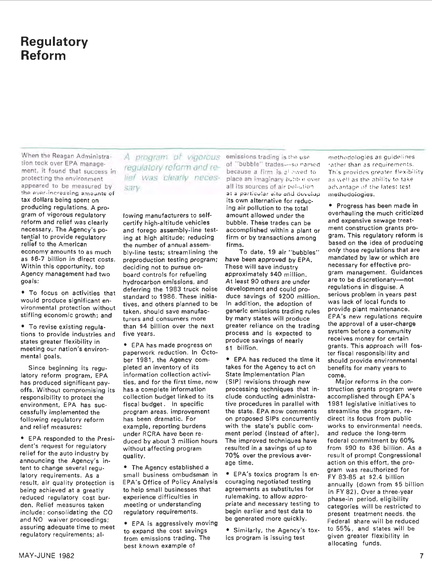### **Regulatory Reform**

When the Reagan Administration took over EPA management, it found that success in protecting the environment appeared to be measured by the ever-increasing amounts of tax dollars being spent on producing regulations. A program of vigorous regulatory reform and relief was clearly necessary. The Agency's potential to provide regulatory relief to the American economy amounts to as much as \$6-7 billion in direct costs. Within this opportunity, top Agency management had two goals:

• To focus on activities that would produce significant environmental protection without stifling economic growth; and

• To revise existing regulations to provide industries and states greater flexibility in meeting our nation's environmental goals.

Since beginning its regulatory reform program, EPA has produced significant payoffs. Without compromising its responsibility to protect the environment. EPA has successfully implemented the following regulatory reform and relief measures:

• EPA responded to the President's request for regulatory relief for the auto industry by announcing the Agency's intent to change several regulatory requirements. As a result. air quality protection is being achieved at a greatly reduced regulatory cost burden. Relief measures taken include: consolidating the CO and NO waiver proceedings; assuring adequate time to meet regulatory requirements; alA program of vigorous emissions trading is the use regulatory reform and relief was clearly neces-**SHIV** 

lowing manufacturers to selfcertify high-altitude vehicles and forego assembly-line testing at high altitude; reducing the number of annual assembly-line tests; streamlining the preproduction testing program; deciding not to pursue onboard controls for refueling hydrocarbon emissions, and deferring the 1983 truck noise standard to 1986. These initiatives, and others planned to be taken, should save manufacturers and consumers more than \$4 billion over the next five years.

• EPA has made progress on paperwork reduction. In October 1981, the Agency completed an inventory of its information collection activities, and for the first time, now has a complete information collection budget linked to its fiscal budget. In specific program areas, improvement has been dramatic. For example, reporting burdens under RCRA have been reduced by about 3 million hours without affecting program quality.

• The Agency established a small business ombudsman in EPA's Office of Policy Analysis to help small businesses that experience difficulties in meeting or understanding regulatory requirements.

• EPA is aggressively moving to expand the cost savings from emissions trading. The best known example of

of "bubble" trades---so named because a firm is allowed to place an imaginary bubble over all its sources of air pollution at a particular site and develop its own alternative for reducing air pollution to the total amount allowed under the bubble. These trades can be accomplished within a plant or firm or by transactions among firms.

To date, 19 air "bubbles" have been approved by EPA. These will save industry approximately \$40 million. At least 90 others are under development and could produce savings of \$200 million. In addition, the adoption of generic emissions trading rules by many states will produce greater reliance on the trading process and is expected to produce savings of nearly \$1 billion.

• EPA has reduced the time it takes for the Agency to act on State Implementation Plan (SIP) revisions through new processing techniques that include conducting administrative procedures in parallel with the state. EPA now comments on proposed SIPs concurrently with the state's public comment period (instead of after). The improved techniques have resulted in a savings of up to 70% over the previous average time.

• EPA's toxics program is encouraging negotiated testing agreements as substitutes for rulemaking, to allow appropriate and necessary testing to begin earlier and test data to be generated more quickly.

• Similarly, the Agency's toxics program is issuing test

methodologies as guidel ines rather than as requirements. This provides greater flexibility as well as the ability to take advantage of the latest test methodologies.

• Progress has been made in overhauling the much criticized and expensive sewage treatment construction grants program. This regulatory reform is based on the idea of producing only those regulations that are mandated by law or which are necessary for effective program management. Guidances are to be discretionary-not regulations in disguise. A serious problem in years past was lack of local funds to provide plant maintenance. EPA's new regulations require the approval of a user-charge system before a community receives money for certain grants. This approach will foster fiscal responsibility and should provide environmental benefits for many years to come.

Major reforms in the construction grants program were accomplished through EPA's 1981 legislative initiatives to streamline the program, redirect its focus from public works to environmental needs. and reduce the long-term federal commitment by 60% from \$90 to \$36 billion. As a result of prompt Congressional action on this effort, the program was reauthorized for FY 83-85 at \$2.4 billion annually (down from \$5 billion in FY 82). Over a three-year phase-in period, eligibility categories will be restricted to present treatment needs. the Federal share will be reduced to 55%, and states will be given greater flexibility in allocating funds.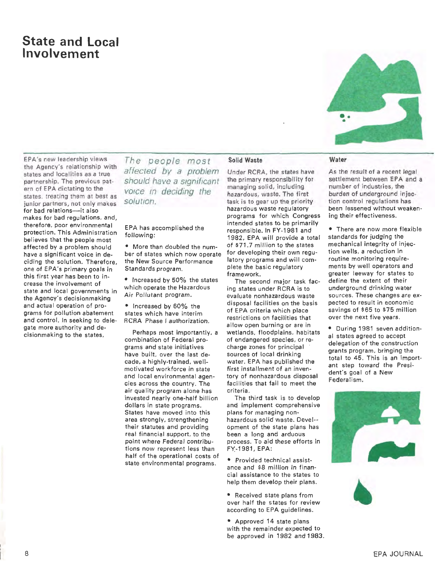### **State and Local Involvement**



EPA's new leadership views the Agency's relationship with states and localities as a true partnership. The previous patern of EPA dictating to the states, treating them at best as junior partners, not only makes for bad relations--it also makes for bad regulations. and, therefore, poor environmental protection. This Administration believes that the people most affected by a problem should have a significant voice in deciding the solution. Therefore, one of EPA's primary goals in this first year has been to increase the involvement of state and local governments in the Agency's decisionmaking and actual operation of programs for pollution abatement and control. In seeking to delegate more authority and decisionmaking to the states,

The people most affected *by* a problem should have a significant voice m deciding the solution.

#### EPA has accomplished the following:

• More than doubled the number of states which now operate the New Source Performance Standards program.

• Increased by 50% the states which operate the Hazardous Air Pollutant program.

• Increased by 60% the states which have interim ACRA Phase I authorization.

Perhaps most importantly, a combination of Federal programs and state initiatives have built. over the last decade, a highly-trained, wellmotivated workforce in state and local environmental agencies across the country. The air quality program alone has invested nearly one-half billion dollars in state programs. States have moved into this area strongly, strengthening their statutes and providing real financial support, to the point where Federal contributions now represent less than half of the operational costs of state environmental programs.

#### Solid Waste

Under RCRA, the states have the primary responsibility for managing solid, including hazardous, waste. The first task is to gear up the priority hazardous waste regulatory programs for which Congress intended states to be primarily responsible. In FY-1981 and 1982, EPA will provide a total of \$71.7 million to the states for developing their own regulatory programs and will complete the basic regulatory framework.

The second major task facing states under RCRA is to evaluate nonhazardous waste disposal facilities on the basis of EPA criteria which place restrictions on facilities that allow open burning or are in wetlands, floodplains, habitats of endangered species, or recharge zones for principal sources of local drinking water. EPA has published the first installment of an inventory of nonhazardous disposal facilities that fail to meet the criteria.

The third task is to develop and implement comprehensive plans for managing nonhazardous solid waste. Oevel- opment of the state plans has been a long and arduous process. To aid these efforts in FY,-1981, EPA:

• Provided technical assistance and \$8 million in financial assistance to the states to help them develop their plans.

• Received state plans from over half the states for review according to EPA guidelines.

• Approved 14 state plans with the remainder expected to be approved in 1982 and 1983.

#### Water

As the result of a recent legal settlement between EPA and a number of industries, the burden of underground injection control regulations has been lessened without weakening their effectiveness.

• There are now more flexible standards for judging the mechanical integrity of injection wells, a reduction in routine monitoring requirements by well operators and greater leeway for states to define the extent of their underground drinking water sources. These changes are expected to result in economic savings of \$65 to \$75 million over the next five years.

• During 1981 seven additional states agreed to accept delegation of the construction grants program, bringing the total to 45. This is an important step toward the President's goal of a New Federalism.



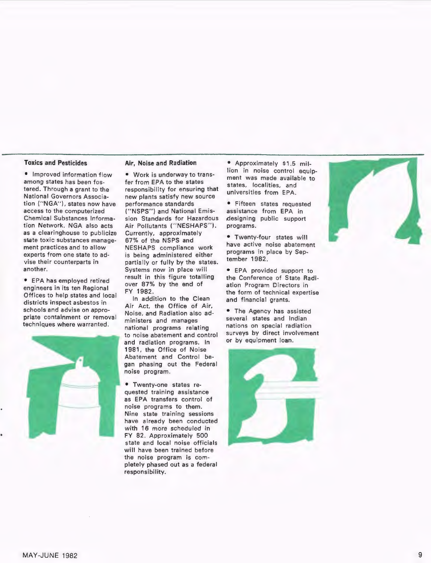#### Toxics and Pesticides

• Improved information flow among states has been fostered. Through a grant to the National Governors Association ("NGA"), states now have access to the computerized Chemical Substances Information Network. NGA also acts as a clearinghouse to publicize state toxic substances management practices and *to* allow experts from one state to advise their counterparts in another.

• EPA has employed retired engineers in its ten Regional Offices to help states and local districts inspect asbestos in schools and advise on appropriate containment or removal techniques where warranted.



#### Air, Noise and Radiation

• Work is underway to transfer from EPA to the states responsibility for ensuring that new plants satisfy new source performance standards ("NSPS") and National Emission Standards for Hazardous Air Pollutants ("NESHAPS"). Currently, approximately 67% of the NSPS and NESHAPS compliance work is being administered either partially or fully by the states. Systems now in place will result in this figure totalling over 87% by the end of FY 1982.

In addition to the Clean Air Act, the Office of Air, Noise, and Radiation also administers and manages national programs relating to noise abatement and control and radiation programs. In 1981, the Office of Noise Abatement and Control began phasing out the Federal noise program.

• Twenty-one states requested training assistance as EPA transfers control of noise programs to them. Nine state training sessions have already been conducted with 16 more scheduled in FY 82. Approximately 500 state and local noise officials will have been trained before the noise program is completely phased out as a federal responsibility.

• Approximately \$1.5 million in noise control equipment was made available to states, localities, and universities from EPA.

• Fifteen states requested assistance from EPA in designing public support programs.

• Twenty-four states will have active noise abatement programs in place by September 1982.

• EPA provided support to the Conference of State Radiation Program Directors in the form of technical expertise and financial grants.

• The Agency has assisted several states and Indian nations on special radiation surveys by direct involvement or by equipment loan.



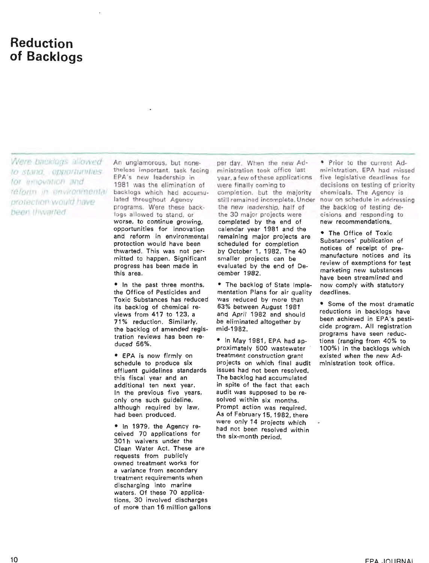## **Reduction of Backlogs**

Were backlags allowed to stand, opportunities for impeation and reform in environmental protection would have been Ilwarted

An unglamorous. but nonetheless important. task facing EPA's new leadership in 1981 was the elimination of backlogs which had accumulated throughout Agency programs. Were these backlogs allowed to stand, or worse, to continue growing, opportunities for innovation and reform in environmental protection would have been thwarted. This was not permitted to happen. Significant progress has been made in this area.

• In the past three months. the Office of Pesticides and Toxic Substances has reduced its backlog of chemical reviews from 417 to 123, a 71% reduction. Similarly, the backlog of amended registration reviews has been reduced 56%.

• EPA is now firmly on schedule to produce six effluent guidelines standards this fiscal year and an additional ten next year. In the previous five years, only one such guideline, although required by law, had been produced.

• In 1979, the Agency received 70 applications for 301 h waivers under the Clean Water Act. These are requests from publicly owned treatment works for a variance from secondary treatment requirements when discharging into marine waters. Of these 70 applications, 30 involved discharges of more than 16 million gallons

per day. When the new Administration took office last year, a few of these applications were finally coming to completion. but the majority still remained incomplete. Under the new leadership, half of the 30 major projects were completed by the end of calendar year 1981 and the remaining major projects are scheduled for completion by October 1, 1982. The 40 smaller projects can be evaluated by the end of December 1982.

• The backlog of State Implementation Plans for air quality was reduced by more than 63% between August 1981 and April 1982 and should be eliminated altogether by mid-1982.

• In May 1981, EPA had approximately 500 wastewater treatment construction grant projects on which final audit issues had not been resolved. The backlog had accumulated in spite of the fact that each audit was supposed to be resolved within six months. Prompt action was required. As of February 15. 1982, there were only 74 projects which had not been resolved within the six-month period.

• Prior to the current Administration, EPA had missed five legislative deadlines for decisions on testing of priority chemicals. The Agency is now on schedule in addressing the backlog of testing decisions and responding to new recommendations.

• The Office of Toxic Substances' publication of notices of receipt of premanufacture notices and its review of exemptions for test marketing new substances have been streamlined and now comply with statutory deadlines.

• Some of the most dramatic reductions in backlogs have been achieved in EPA's pesticide program. All registration programs have seen reductions (ranging from 40% to 100%) in the backlogs which existed when the new Administration took office.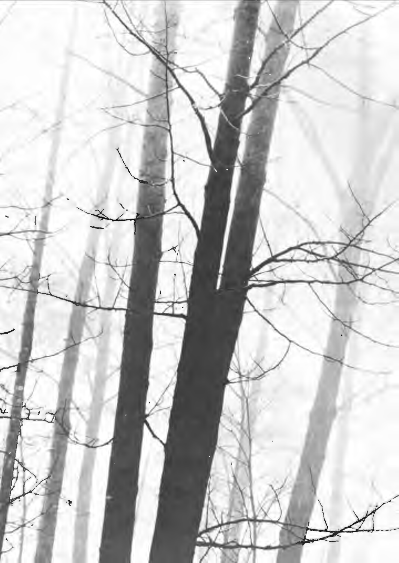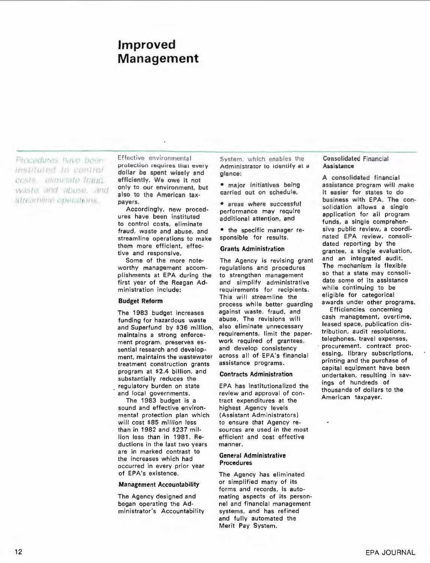### **Improved Management**

Procedures have been instituted to control costs, climinate fraud. wiste and abuse, and streaming operations.

Effective environmental protection requires that every dollar be spent wisely and effici ently. We owe it not only to our env ironmen t, but also to the American taxpayers.

Accordingly, new procedures have been instituted to control costs, elim inate fraud, waste and abuse, and streamline operations to make them more efficient, effec tive and responsive.

Some of the more note worthy management accomplishments at EPA during the first year of the Reagan Administration include:

#### Budget Reform

The 1983 budget increases funding for hazardous waste and Superfund by \$36 million, maintains a strong enforcement program. preserves essential research and development, maintains the wastewater treatment construction grants program at \$2.4 billion, and substantially reduces the regulatory burden on state and local governments.

The 1983 budget is a sound and effective environmental protection plan which will cost \$85 million less than in 1982 and \$237 million less than in 1981. Reductions in the last two years are in marked contrast to the increases which had occurred in every prior year of EPA's existence.

#### Management Accountability

The Agency designed and began operating the Administrator's Accountability

System, which enab les the Administra tor to identify at a glance:

• major initiatives being carr ied out on schedule,

• areas where successful performance may require additional attention, and

• the specific manager responsible for results.

#### Grants Administration

The Agency is revising grant regulations and procedures to strengthen management and simplify administrative requirements for recipients. This will streamline the process while better guarding against waste, fraud, and abuse. The revisions will also eliminate unnecessary requirements, limit the paperwork required of grantees. and deve lop consistency across all of EPA's financial assistance programs.

#### Contracts Administration

EPA has institutionalized the review and approval of contract expenditures at the highest Agency levels (Assistant Administrators} to ensure that Agency resources are used *in* the *most*  efficient and cost effective manner.

#### General Administrative Procedures

The Agency has eliminated or simplified many of its forms and records. is automating aspects of its person nel and financial management systems, and has refined and fully automated the Merit Pay System.

#### Consol idated Fi nancial Assistance

A consolidated finan cial assistance program will make it eas ier for states to do business with EPA. The con solidation allows a single application for all program funds, a single comprehensive public review, a coordinated EPA review, consolidated reporting by the grantee, a single evaluation, and an integrated audit. The mechanism is flexible so that a state may consolidate some of its assistance while continuing to be eligible for categorical awards under other programs.

Efficiencies concerning cash management, overtime, leased space, publication distribution, audit resolutions, telephones, travel expenses, · procurement, contract proc essing, library subscriptions, printing and the purchase of capital equipment have been undertaken, resulting in savings of hundreds of thousands of dollars to the American taxpayer.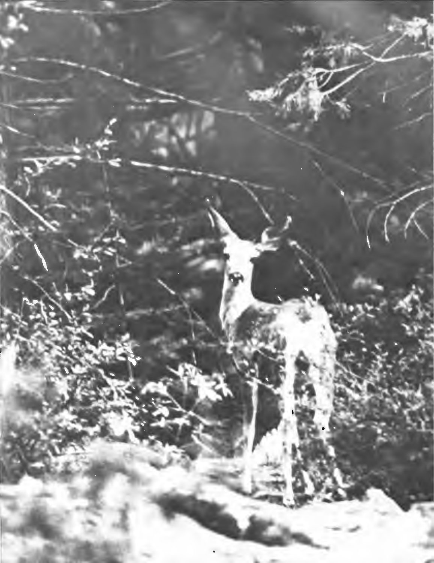